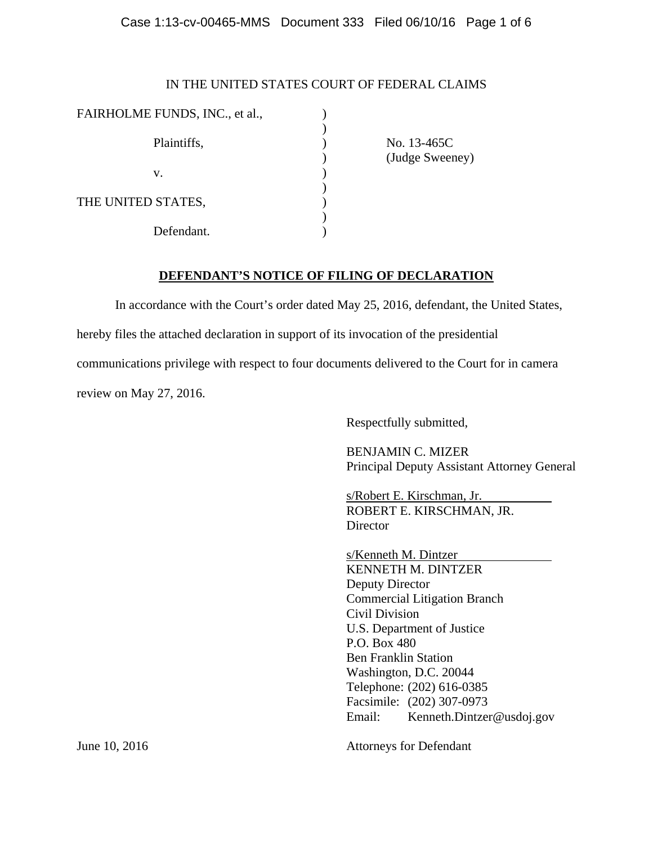# Case 1:13-cv-00465-MMS Document 333 Filed 06/10/16 Page 1 of 6

# IN THE UNITED STATES COURT OF FEDERAL CLAIMS

| FAIRHOLME FUNDS, INC., et al., |  |
|--------------------------------|--|
| Plaintiffs,                    |  |
| v.                             |  |
| THE UNITED STATES,             |  |
| Defendant.                     |  |

 No. 13-465C (Judge Sweeney)

# **DEFENDANT'S NOTICE OF FILING OF DECLARATION**

In accordance with the Court's order dated May 25, 2016, defendant, the United States,

hereby files the attached declaration in support of its invocation of the presidential

communications privilege with respect to four documents delivered to the Court for in camera

review on May 27, 2016.

Respectfully submitted,

BENJAMIN C. MIZER Principal Deputy Assistant Attorney General

s/Robert E. Kirschman, Jr. ROBERT E. KIRSCHMAN, JR. Director

s/Kenneth M. Dintzer KENNETH M. DINTZER Deputy Director Commercial Litigation Branch Civil Division U.S. Department of Justice P.O. Box 480 Ben Franklin Station Washington, D.C. 20044 Telephone: (202) 616-0385 Facsimile: (202) 307-0973 Email: Kenneth.Dintzer@usdoj.gov

Attorneys for Defendant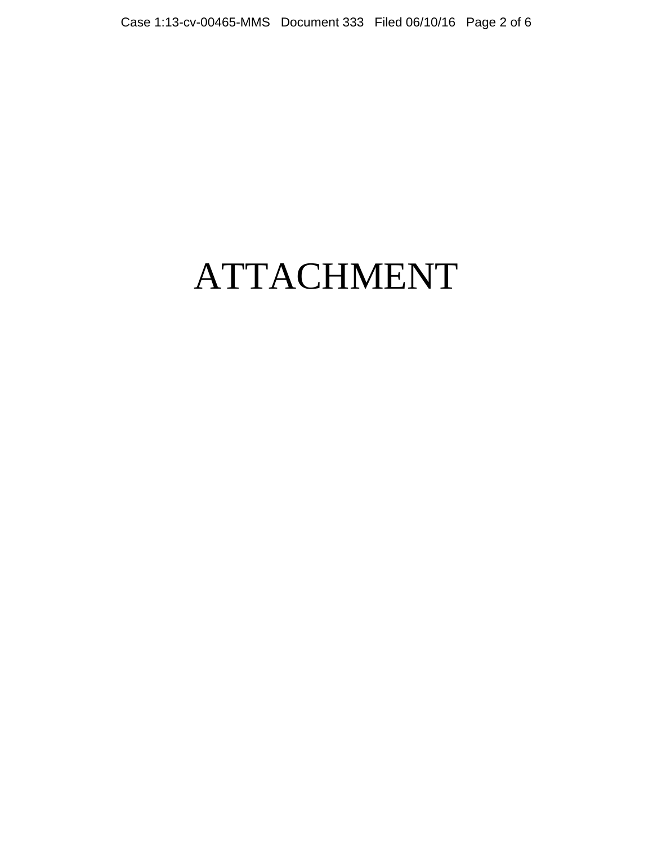# ATTACHMENT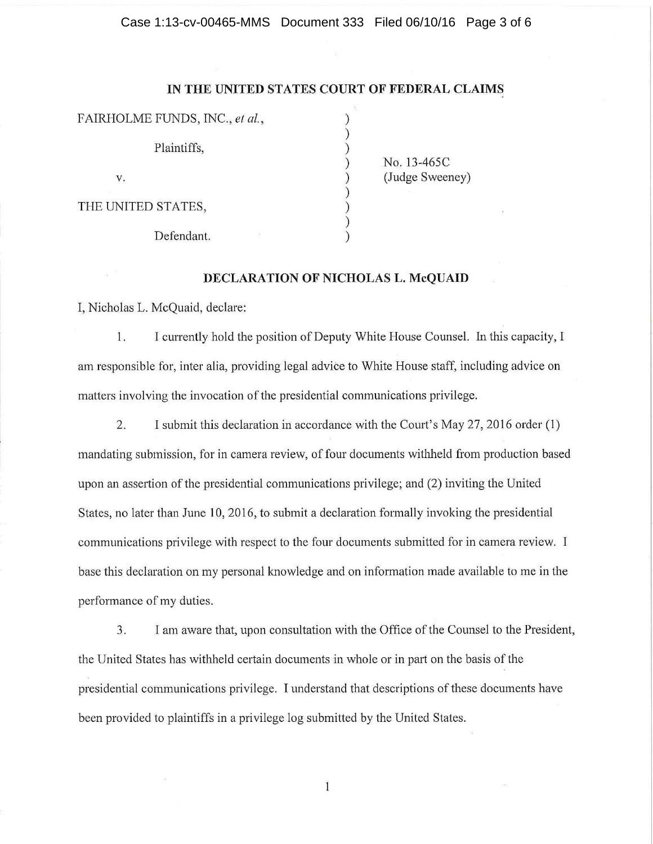#### Case 1:13-cv-00465-MMS Document 333 Filed 06/10/16 Page 3 of 6

# IN THE UNITED STATES COURT OF FEDERAL CLAIMS

) ) ) ) ) ) ) ) )

FAIRHOLME FUNDS, INC., et al., Plaintiffs, v. THE UNITED STATES, Defendant.

No. 13-465C (Judge Sweeney)

# **DECLARATION OF NICHOLAS L. McQUAID**

I, Nicholas L. McQuaid, declare:

1. I currently hold the position of Deputy White House Counsel. In this capacity, I am responsible for, inter alia, providing legal advice to White House staff, including advice on matters involving the invocation of the presidential communications privilege.

2. I submit this declaration in accordance with the Court's May 27, 2016 order (1) mandating submission, for in camera review, of four documents withheld from production based upon an assertion of the presidential communications privilege; and (2) inviting the United States, no later than June 10, 2016, to submit a declaration formally invoking the presidential communications privilege with respect to the four documents submitted for in camera review. I base this declaration on my personal knowledge and on information made available to me in the performance of my duties.

3. I am aware that, upon consultation with the Office of the Counsel to the President, the United States has withheld certain documents in whole or in part on the basis of the presidential communications privilege. I understand that descriptions of these documents have been provided to plaintiffs in a privilege log submitted by the United States.

 $\mathbf{1}$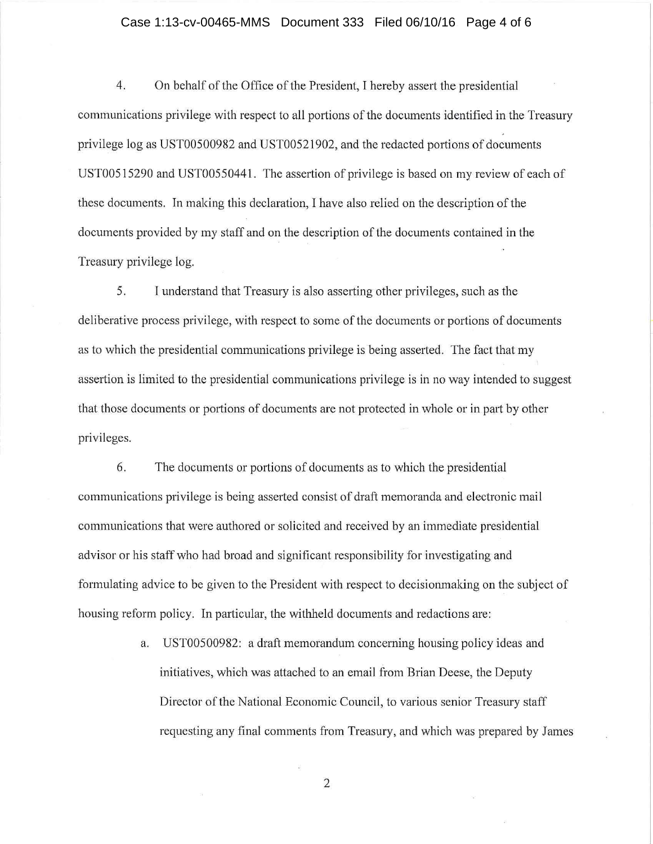#### Case 1:13-cv-00465-MMS Document 333 Filed 06/10/16 Page 4 of 6

4. On behalf of the Office of the President, I hereby assert the presidential communications privilege with respect to all portions of the documents identified in the Treasury privilege log as UST00500982 and UST00521902, and the redacted portions of documents USTOOS 15290 and UST0055044 l. The assertion of privilege is based on my review of each of these documents. In making this declaration, I have also relied on the description of the documents provided by my staff and on the description of the documents contained in the Treasury privilege log.

5. I understand that Treasury is also asserting other privileges, such as the deliberative process privilege, with respect to some of the documents or portions of documents as to which the presidential communications privilege is being asserted. The fact that my assertion is limited to the presidential communications privilege is in no way intended to suggest that those documents or portions of documents are not protected in whole or in part by other privileges.

6. The documents or portions of documents as to which the presidential communications privilege is being asserted consist of draft memoranda and electronic mail communications that were authored or solicited and received by an immediate presidential advisor or his staff who had broad and significant responsibility for investigating and formulating advice to be given to the President with respect to decisionmaking on the subject of housing reform policy. In particular, the withheld documents and redactions are:

> a. UST00500982: a draft memorandum concerning housing policy ideas and initiatives, which was attached to an email from Brian Deese, the Deputy Director of the National Economic Council, to various senior Treasury staff requesting any final comments from Treasury, and which was prepared by James

> > 2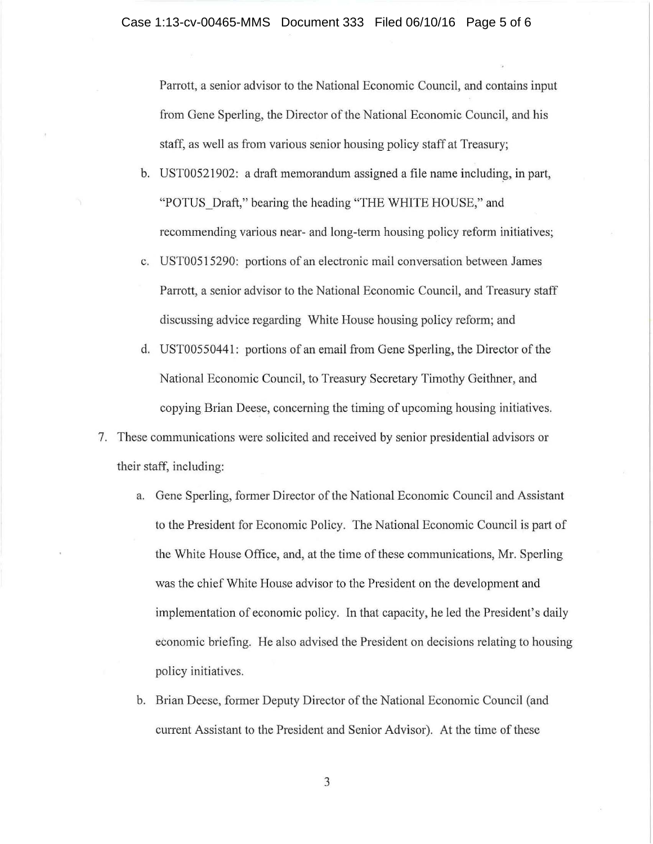Parrott, a senior advisor to the National Economic Council, and contains input from Gene Sperling, the Director of the National Economic Council, and his staff, as well as from various senior housing policy staff at Treasury;

- b. UST00521902: a draft memorandum assigned a file name including, in part, "POTUS Draft," bearing the heading "THE WHITE HOUSE," and recommending various near- and long-term housing policy reform initiatives;
- c. USTOOS 15290: portions of an electronic mail conversation between James Parrott, a senior advisor to the National Economic Council, and Treasury staff discussing advice regarding White House housing policy reform; and
- d. UST0055044 l: portions of an email from Gene Sperling, the Director of the National Economic Council, to Treasury Secretary Timothy Geithner, and copying Brian Deese, concerning the timing of upcoming housing initiatives.
- 7. These communications were solicited and received by senior presidential advisors or their staff, including:
	- a. Gene Sperling, former Director of the National Economic Council and Assistant to the President for Economic Policy. The National Economic Council is part of the White House Office, and, at the time of these communications, Mr. Sperling was the chief White House advisor to the President on the development and implementation of economic policy. In that capacity, he led the President's daily economic briefing. He also advised the President on decisions relating to housing policy initiatives.
	- b. Brian Deese, former Deputy Director of the National Economic Council (and current Assistant to the President and Senior Advisor). At the time of these

3